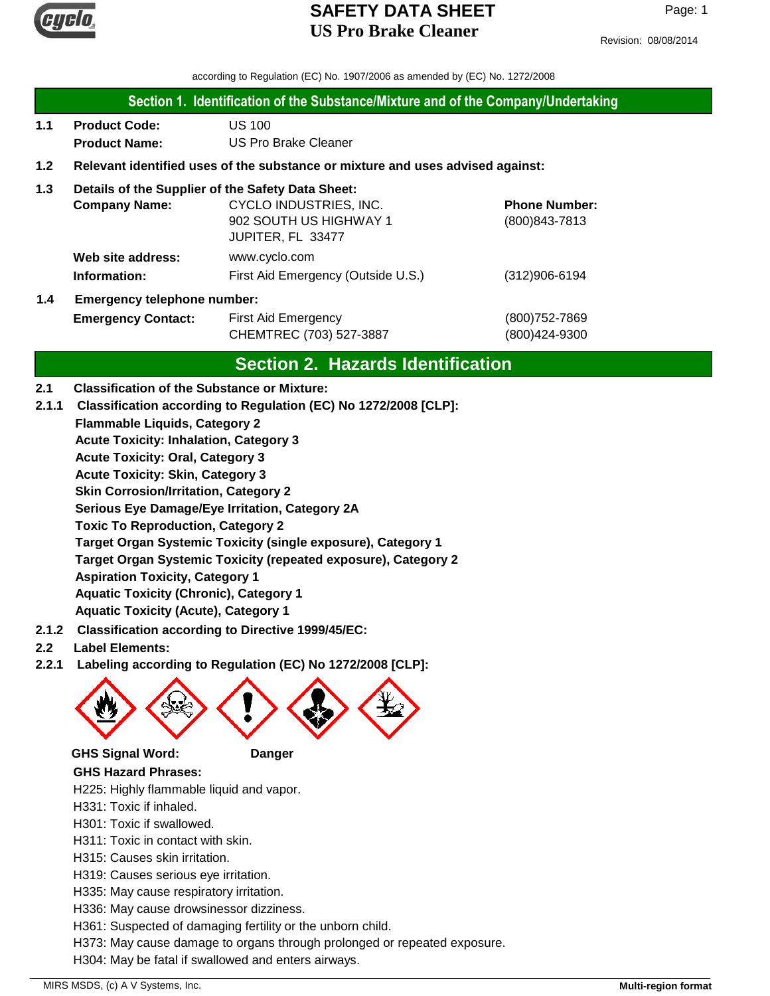

Revision: 08/08/2014

according to Regulation (EC) No. 1907/2006 as amended by (EC) No. 1272/2008

# **Section 1. Identification of the Substance/Mixture and of the Company/Undertaking**

**1.1 Product Code:** US 100  **Product Name:** US Pro Brake Cleaner

# **1.2 Relevant identified uses of the substance or mixture and uses advised against:**

# **1.3 Details of the Supplier of the Safety Data Sheet:**

| <b>Company Name:</b>              | CYCLO INDUSTRIES, INC.<br>902 SOUTH US HIGHWAY 1<br>JUPITER, FL 33477 | <b>Phone Number:</b><br>(800) 843-7813 |  |
|-----------------------------------|-----------------------------------------------------------------------|----------------------------------------|--|
| Web site address:<br>Information: | www.cyclo.com<br>First Aid Emergency (Outside U.S.)                   | $(312)906 - 6194$                      |  |
| Emergency telephone number        |                                                                       |                                        |  |

# **1.4 Emergency telephone number:**

**Emergency Contact:** First Aid Emergency **Emergency** (800)752-7869 CHEMTREC (703) 527-3887 (800)424-9300

# **Section 2. Hazards Identification**

### **2.1 Classification of the Substance or Mixture:**

**Flammable Liquids, Category 2 2.1.1 Classification according to Regulation (EC) No 1272/2008 [CLP]:**

**Acute Toxicity: Inhalation, Category 3 Acute Toxicity: Oral, Category 3**

**Acute Toxicity: Skin, Category 3**

**Skin Corrosion/Irritation, Category 2**

**Serious Eye Damage/Eye Irritation, Category 2A**

**Toxic To Reproduction, Category 2**

**Target Organ Systemic Toxicity (single exposure), Category 1**

**Target Organ Systemic Toxicity (repeated exposure), Category 2**

**Aspiration Toxicity, Category 1**

**Aquatic Toxicity (Chronic), Category 1**

**Aquatic Toxicity (Acute), Category 1**

- **2.1.2 Classification according to Directive 1999/45/EC:**
- **2.2 Label Elements:**
- **2.2.1 Labeling according to Regulation (EC) No 1272/2008 [CLP]:**



**GHS Signal Word: Danger**



H225: Highly flammable liquid and vapor.

- H331: Toxic if inhaled.
- H301: Toxic if swallowed.

H311: Toxic in contact with skin.

- H315: Causes skin irritation.
- H319: Causes serious eye irritation.
- H335: May cause respiratory irritation.

H336: May cause drowsinessor dizziness.

H361: Suspected of damaging fertility or the unborn child.

H373: May cause damage to organs through prolonged or repeated exposure.

H304: May be fatal if swallowed and enters airways.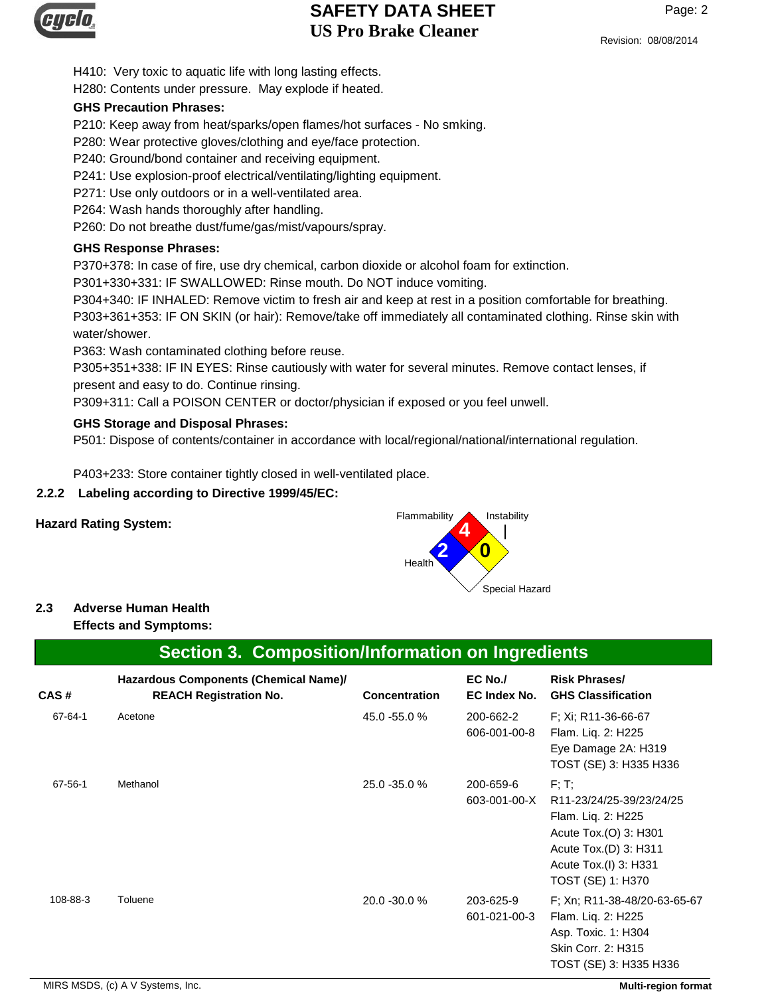

H410: Very toxic to aquatic life with long lasting effects.

H280: Contents under pressure. May explode if heated.

### **GHS Precaution Phrases:**

P210: Keep away from heat/sparks/open flames/hot surfaces - No smking.

P280: Wear protective gloves/clothing and eye/face protection.

P240: Ground/bond container and receiving equipment.

P241: Use explosion-proof electrical/ventilating/lighting equipment.

P271: Use only outdoors or in a well-ventilated area.

P264: Wash hands thoroughly after handling.

P260: Do not breathe dust/fume/gas/mist/vapours/spray.

### **GHS Response Phrases:**

P370+378: In case of fire, use dry chemical, carbon dioxide or alcohol foam for extinction.

P301+330+331: IF SWALLOWED: Rinse mouth. Do NOT induce vomiting.

P304+340: IF INHALED: Remove victim to fresh air and keep at rest in a position comfortable for breathing. P303+361+353: IF ON SKIN (or hair): Remove/take off immediately all contaminated clothing. Rinse skin with

water/shower.

P363: Wash contaminated clothing before reuse.

P305+351+338: IF IN EYES: Rinse cautiously with water for several minutes. Remove contact lenses, if present and easy to do. Continue rinsing.

P309+311: Call a POISON CENTER or doctor/physician if exposed or you feel unwell.

### **GHS Storage and Disposal Phrases:**

P501: Dispose of contents/container in accordance with local/regional/national/international regulation.

P403+233: Store container tightly closed in well-ventilated place.

### **2.2.2 Labeling according to Directive 1999/45/EC:**



# **2.3 Adverse Human Health**

**Effects and Symptoms:**

|          | <b>Section 3. Composition/Information on Ingredients</b>               |                      |                           |                                                                                                                                                            |  |  |
|----------|------------------------------------------------------------------------|----------------------|---------------------------|------------------------------------------------------------------------------------------------------------------------------------------------------------|--|--|
| CAS#     | Hazardous Components (Chemical Name)/<br><b>REACH Registration No.</b> | <b>Concentration</b> | EC No./<br>EC Index No.   | <b>Risk Phrases/</b><br><b>GHS Classification</b>                                                                                                          |  |  |
| 67-64-1  | Acetone                                                                | 45.0 -55.0 %         | 200-662-2<br>606-001-00-8 | F; Xi; R11-36-66-67<br>Flam. Liq. 2: H225<br>Eye Damage 2A: H319<br>TOST (SE) 3: H335 H336                                                                 |  |  |
| 67-56-1  | Methanol                                                               | 25.0 - 35.0 %        | 200-659-6<br>603-001-00-X | $F$ ; T;<br>R11-23/24/25-39/23/24/25<br>Flam. Liq. 2: H225<br>Acute Tox.(O) 3: H301<br>Acute Tox.(D) 3: H311<br>Acute Tox.(I) 3: H331<br>TOST (SE) 1: H370 |  |  |
| 108-88-3 | Toluene                                                                | 20.0 - 30.0 %        | 203-625-9<br>601-021-00-3 | F; Xn; R11-38-48/20-63-65-67<br>Flam. Liq. 2: H225<br>Asp. Toxic. 1: H304<br>Skin Corr. 2: H315<br>TOST (SE) 3: H335 H336                                  |  |  |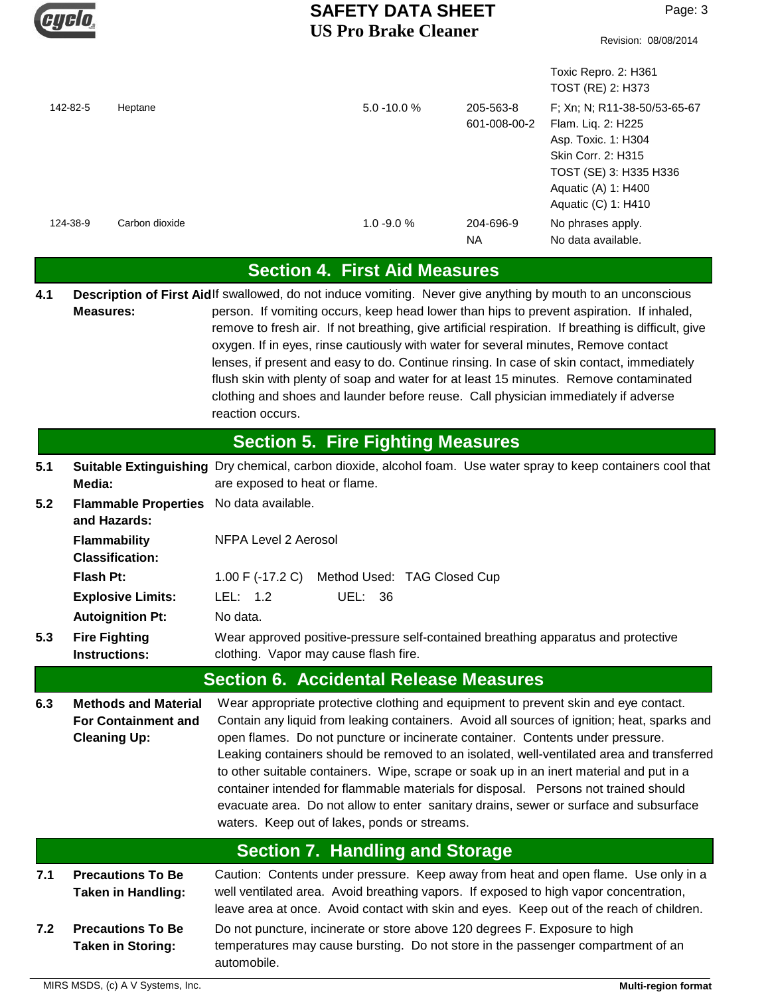|     |                  |                                                                                  | <b>SAFETY DATA SHEET</b>                |                                                                            |                           | Page: 3                                                                                                                                                                                                                                                                                                                                                                                                                                                                                                                                                                                                                                                                            |
|-----|------------------|----------------------------------------------------------------------------------|-----------------------------------------|----------------------------------------------------------------------------|---------------------------|------------------------------------------------------------------------------------------------------------------------------------------------------------------------------------------------------------------------------------------------------------------------------------------------------------------------------------------------------------------------------------------------------------------------------------------------------------------------------------------------------------------------------------------------------------------------------------------------------------------------------------------------------------------------------------|
|     |                  |                                                                                  | <b>US Pro Brake Cleaner</b>             |                                                                            |                           | Revision: 08/08/2014                                                                                                                                                                                                                                                                                                                                                                                                                                                                                                                                                                                                                                                               |
|     |                  |                                                                                  |                                         |                                                                            |                           | Toxic Repro. 2: H361<br>TOST (RE) 2: H373                                                                                                                                                                                                                                                                                                                                                                                                                                                                                                                                                                                                                                          |
|     | 142-82-5         | Heptane                                                                          |                                         | 5.0 -10.0 %                                                                | 205-563-8<br>601-008-00-2 | F; Xn; N; R11-38-50/53-65-67<br>Flam. Liq. 2: H225<br>Asp. Toxic. 1: H304<br>Skin Corr. 2: H315<br>TOST (SE) 3: H335 H336<br>Aquatic (A) 1: H400<br>Aquatic (C) 1: H410                                                                                                                                                                                                                                                                                                                                                                                                                                                                                                            |
|     | 124-38-9         | Carbon dioxide                                                                   |                                         | $1.0 - 9.0 %$                                                              | 204-696-9<br><b>NA</b>    | No phrases apply.<br>No data available.                                                                                                                                                                                                                                                                                                                                                                                                                                                                                                                                                                                                                                            |
|     |                  |                                                                                  |                                         | <b>Section 4. First Aid Measures</b>                                       |                           |                                                                                                                                                                                                                                                                                                                                                                                                                                                                                                                                                                                                                                                                                    |
| 4.1 | <b>Measures:</b> |                                                                                  | reaction occurs.                        |                                                                            |                           | Description of First Aidlf swallowed, do not induce vomiting. Never give anything by mouth to an unconscious<br>person. If vomiting occurs, keep head lower than hips to prevent aspiration. If inhaled,<br>remove to fresh air. If not breathing, give artificial respiration. If breathing is difficult, give<br>oxygen. If in eyes, rinse cautiously with water for several minutes, Remove contact<br>lenses, if present and easy to do. Continue rinsing. In case of skin contact, immediately<br>flush skin with plenty of soap and water for at least 15 minutes. Remove contaminated<br>clothing and shoes and launder before reuse. Call physician immediately if adverse |
|     |                  |                                                                                  |                                         | <b>Section 5. Fire Fighting Measures</b>                                   |                           |                                                                                                                                                                                                                                                                                                                                                                                                                                                                                                                                                                                                                                                                                    |
| 5.1 | Media:           |                                                                                  | are exposed to heat or flame.           |                                                                            |                           | Suitable Extinguishing Dry chemical, carbon dioxide, alcohol foam. Use water spray to keep containers cool that                                                                                                                                                                                                                                                                                                                                                                                                                                                                                                                                                                    |
| 5.2 |                  | and Hazards:                                                                     | Flammable Properties No data available. |                                                                            |                           |                                                                                                                                                                                                                                                                                                                                                                                                                                                                                                                                                                                                                                                                                    |
|     |                  | <b>Flammability</b><br><b>Classification:</b>                                    | NFPA Level 2 Aerosol                    |                                                                            |                           |                                                                                                                                                                                                                                                                                                                                                                                                                                                                                                                                                                                                                                                                                    |
|     | Flash Pt:        |                                                                                  |                                         | 1.00 F (-17.2 C) Method Used: TAG Closed Cup                               |                           |                                                                                                                                                                                                                                                                                                                                                                                                                                                                                                                                                                                                                                                                                    |
|     |                  | <b>Explosive Limits:</b><br><b>Autoignition Pt:</b>                              | LEL: 1.2<br>No data.                    | <b>UEL: 36</b>                                                             |                           |                                                                                                                                                                                                                                                                                                                                                                                                                                                                                                                                                                                                                                                                                    |
| 5.3 |                  | <b>Fire Fighting</b><br><b>Instructions:</b>                                     | clothing. Vapor may cause flash fire.   |                                                                            |                           | Wear approved positive-pressure self-contained breathing apparatus and protective                                                                                                                                                                                                                                                                                                                                                                                                                                                                                                                                                                                                  |
|     |                  |                                                                                  |                                         | <b>Section 6. Accidental Release Measures</b>                              |                           |                                                                                                                                                                                                                                                                                                                                                                                                                                                                                                                                                                                                                                                                                    |
| 6.3 |                  | <b>Methods and Material</b><br><b>For Containment and</b><br><b>Cleaning Up:</b> |                                         | waters. Keep out of lakes, ponds or streams.                               |                           | Wear appropriate protective clothing and equipment to prevent skin and eye contact.<br>Contain any liquid from leaking containers. Avoid all sources of ignition; heat, sparks and<br>open flames. Do not puncture or incinerate container. Contents under pressure.<br>Leaking containers should be removed to an isolated, well-ventilated area and transferred<br>to other suitable containers. Wipe, scrape or soak up in an inert material and put in a<br>container intended for flammable materials for disposal. Persons not trained should<br>evacuate area. Do not allow to enter sanitary drains, sewer or surface and subsurface                                       |
|     |                  |                                                                                  |                                         | <b>Section 7. Handling and Storage</b>                                     |                           |                                                                                                                                                                                                                                                                                                                                                                                                                                                                                                                                                                                                                                                                                    |
| 7.1 |                  | <b>Precautions To Be</b><br><b>Taken in Handling:</b>                            |                                         |                                                                            |                           | Caution: Contents under pressure. Keep away from heat and open flame. Use only in a<br>well ventilated area. Avoid breathing vapors. If exposed to high vapor concentration,<br>leave area at once. Avoid contact with skin and eyes. Keep out of the reach of children.                                                                                                                                                                                                                                                                                                                                                                                                           |
| 7.2 |                  | <b>Precautions To Be</b>                                                         |                                         | Do not puncture, incinerate or store above 120 degrees F. Exposure to high |                           |                                                                                                                                                                                                                                                                                                                                                                                                                                                                                                                                                                                                                                                                                    |

temperatures may cause bursting. Do not store in the passenger compartment of an

**Taken in Storing:**

automobile.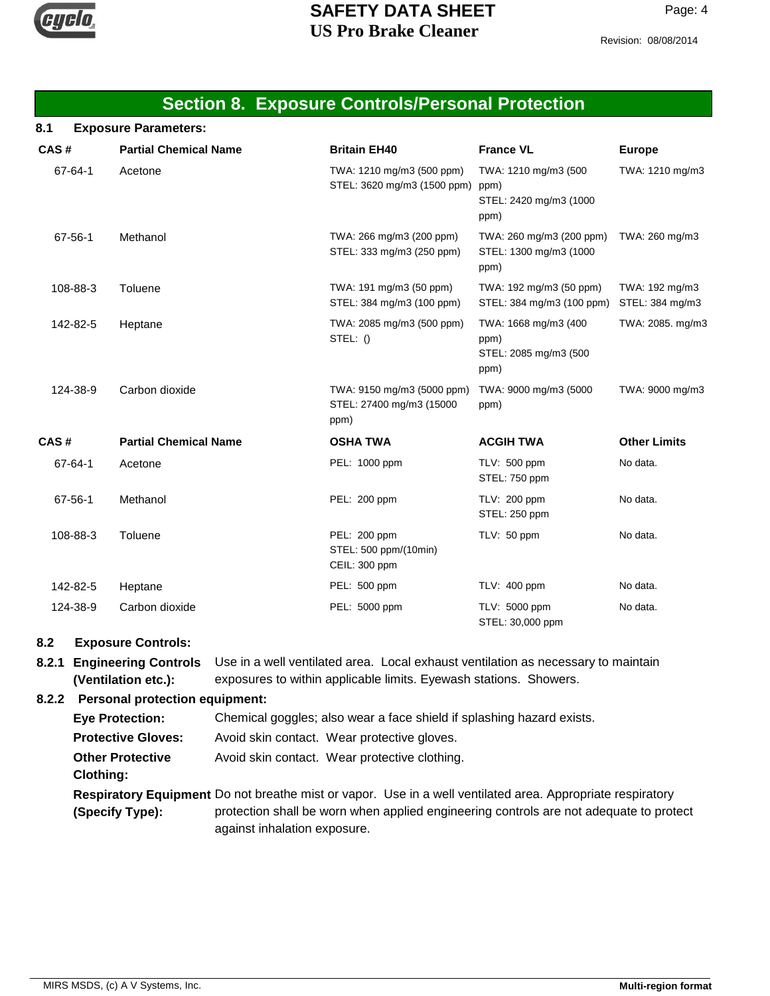

# **Section 8. Exposure Controls/Personal Protection**

### **8.1 Exposure Parameters:**

| CAS#     | <b>Partial Chemical Name</b> | <b>Britain EH40</b>                                            | <b>France VL</b>                                               | <b>Europe</b>                     |
|----------|------------------------------|----------------------------------------------------------------|----------------------------------------------------------------|-----------------------------------|
| 67-64-1  | Acetone                      | TWA: 1210 mg/m3 (500 ppm)<br>STEL: 3620 mg/m3 (1500 ppm)       | TWA: 1210 mg/m3 (500<br>ppm)<br>STEL: 2420 mg/m3 (1000<br>ppm) | TWA: 1210 mg/m3                   |
| 67-56-1  | Methanol                     | TWA: 266 mg/m3 (200 ppm)<br>STEL: 333 mg/m3 (250 ppm)          | TWA: 260 mg/m3 (200 ppm)<br>STEL: 1300 mg/m3 (1000<br>ppm)     | TWA: 260 mg/m3                    |
| 108-88-3 | Toluene                      | TWA: 191 mg/m3 (50 ppm)<br>STEL: 384 mg/m3 (100 ppm)           | TWA: 192 mg/m3 (50 ppm)<br>STEL: 384 mg/m3 (100 ppm)           | TWA: 192 mg/m3<br>STEL: 384 mg/m3 |
| 142-82-5 | Heptane                      | TWA: 2085 mg/m3 (500 ppm)<br>STEL: ()                          | TWA: 1668 mg/m3 (400<br>ppm)<br>STEL: 2085 mg/m3 (500<br>ppm)  | TWA: 2085. mg/m3                  |
| 124-38-9 | Carbon dioxide               | TWA: 9150 mg/m3 (5000 ppm)<br>STEL: 27400 mg/m3 (15000<br>ppm) | TWA: 9000 mg/m3 (5000<br>ppm)                                  | TWA: 9000 mg/m3                   |
| CAS#     | <b>Partial Chemical Name</b> | <b>OSHA TWA</b>                                                | <b>ACGIH TWA</b>                                               | <b>Other Limits</b>               |
| 67-64-1  | Acetone                      | PEL: 1000 ppm                                                  | TLV: 500 ppm<br>STEL: 750 ppm                                  | No data.                          |
| 67-56-1  | Methanol                     | PEL: 200 ppm                                                   | TLV: 200 ppm<br>STEL: 250 ppm                                  | No data.                          |
| 108-88-3 | Toluene                      | PEL: 200 ppm<br>STEL: 500 ppm/(10min)<br>CEIL: 300 ppm         | TLV: $50$ ppm                                                  | No data.                          |
| 142-82-5 | Heptane                      | PEL: 500 ppm                                                   | TLV: 400 ppm                                                   | No data.                          |
| 124-38-9 | Carbon dioxide               | PEL: 5000 ppm                                                  | TLV: 5000 ppm<br>STEL: 30,000 ppm                              | No data.                          |

### **8.2 Exposure Controls:**

8.2.1 Engineering Controls Use in a well ventilated area. Local exhaust ventilation as necessary to maintain exposures to within applicable limits. Eyewash stations. Showers. **(Ventilation etc.):**

### **8.2.2 Personal protection equipment:**

| <b>Eye Protection:</b>    | Chemical goggles; also wear a face shield if splashing hazard exists.                                                  |
|---------------------------|------------------------------------------------------------------------------------------------------------------------|
| <b>Protective Gloves:</b> | Avoid skin contact. Wear protective gloves.                                                                            |
| <b>Other Protective</b>   | Avoid skin contact. Wear protective clothing.                                                                          |
| Clothing:                 |                                                                                                                        |
|                           | Respiratory Equipment Do not breathe mist or vapor. Use in a well ventilated area. Appropriate respiratory             |
| (Specify Type):           | protection shall be worn when applied engineering controls are not adequate to protect<br>against inhalation exposure. |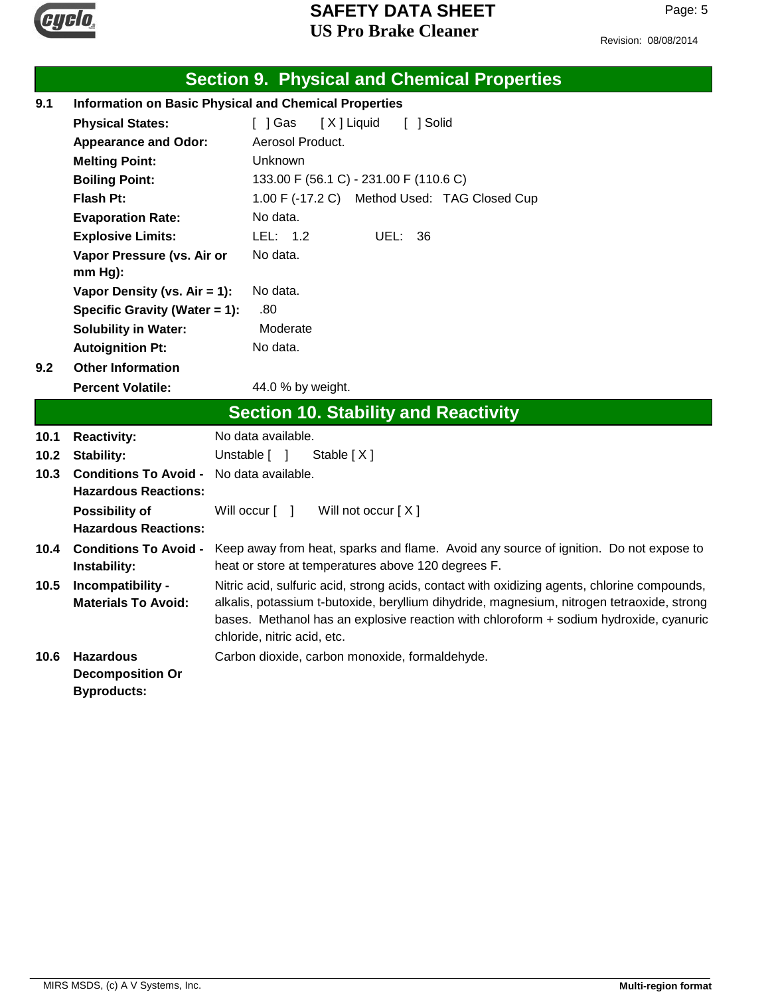

Revision: 08/08/2014

|      |                               | <b>Section 9. Physical and Chemical Properties</b>                                                                                                                                   |  |
|------|-------------------------------|--------------------------------------------------------------------------------------------------------------------------------------------------------------------------------------|--|
| 9.1  |                               | <b>Information on Basic Physical and Chemical Properties</b>                                                                                                                         |  |
|      | <b>Physical States:</b>       | [ ] Gas<br>[X] Liquid<br>[ ] Solid                                                                                                                                                   |  |
|      | <b>Appearance and Odor:</b>   | Aerosol Product.                                                                                                                                                                     |  |
|      | <b>Melting Point:</b>         | Unknown                                                                                                                                                                              |  |
|      | <b>Boiling Point:</b>         | 133.00 F (56.1 C) - 231.00 F (110.6 C)                                                                                                                                               |  |
|      | <b>Flash Pt:</b>              | 1.00 F (-17.2 C) Method Used: TAG Closed Cup                                                                                                                                         |  |
|      | <b>Evaporation Rate:</b>      | No data.                                                                                                                                                                             |  |
|      | <b>Explosive Limits:</b>      | LEL: 1.2<br>UEL:<br>36                                                                                                                                                               |  |
|      | Vapor Pressure (vs. Air or    | No data.                                                                                                                                                                             |  |
|      | mm Hg):                       |                                                                                                                                                                                      |  |
|      | Vapor Density (vs. Air = 1):  | No data.                                                                                                                                                                             |  |
|      | Specific Gravity (Water = 1): | .80                                                                                                                                                                                  |  |
|      | <b>Solubility in Water:</b>   | Moderate                                                                                                                                                                             |  |
|      | <b>Autoignition Pt:</b>       | No data.                                                                                                                                                                             |  |
| 9.2  | <b>Other Information</b>      |                                                                                                                                                                                      |  |
|      | <b>Percent Volatile:</b>      | 44.0 % by weight.                                                                                                                                                                    |  |
|      |                               | <b>Section 10. Stability and Reactivity</b>                                                                                                                                          |  |
| 10.1 | <b>Reactivity:</b>            | No data available.                                                                                                                                                                   |  |
| 10.2 | <b>Stability:</b>             | Unstable [ ]<br>Stable [X]                                                                                                                                                           |  |
| 10.3 | <b>Conditions To Avoid -</b>  | No data available.                                                                                                                                                                   |  |
|      | <b>Hazardous Reactions:</b>   |                                                                                                                                                                                      |  |
|      | <b>Possibility of</b>         | Will occur [ ]<br>Will not occur [X]                                                                                                                                                 |  |
|      | <b>Hazardous Reactions:</b>   |                                                                                                                                                                                      |  |
|      | 10.4 Conditions To Avoid -    | Keep away from heat, sparks and flame. Avoid any source of ignition. Do not expose to                                                                                                |  |
|      | Instability:                  | heat or store at temperatures above 120 degrees F.                                                                                                                                   |  |
| 10.5 | Incompatibility -             | Nitric acid, sulfuric acid, strong acids, contact with oxidizing agents, chlorine compounds,                                                                                         |  |
|      | <b>Materials To Avoid:</b>    | alkalis, potassium t-butoxide, beryllium dihydride, magnesium, nitrogen tetraoxide, strong<br>bases. Methanol has an explosive reaction with chloroform + sodium hydroxide, cyanuric |  |
|      |                               | chloride, nitric acid, etc.                                                                                                                                                          |  |
| 10.6 | <b>Hazardous</b>              | Carbon dioxide, carbon monoxide, formaldehyde.                                                                                                                                       |  |
|      | <b>Decomposition Or</b>       |                                                                                                                                                                                      |  |
|      | <b>Byproducts:</b>            |                                                                                                                                                                                      |  |
|      |                               |                                                                                                                                                                                      |  |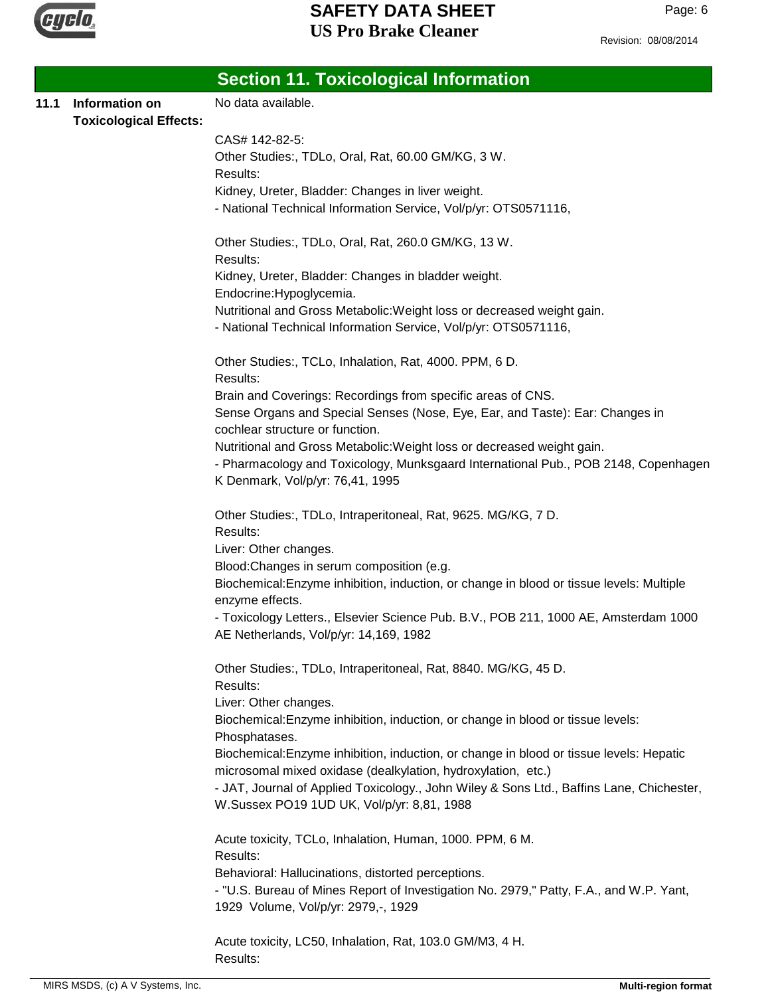

Revision: 08/08/2014

|      |                                                 | <b>Section 11. Toxicological Information</b>                                                                                                            |
|------|-------------------------------------------------|---------------------------------------------------------------------------------------------------------------------------------------------------------|
| 11.1 | Information on<br><b>Toxicological Effects:</b> | No data available.                                                                                                                                      |
|      |                                                 | CAS# 142-82-5:                                                                                                                                          |
|      |                                                 | Other Studies:, TDLo, Oral, Rat, 60.00 GM/KG, 3 W.<br>Results:                                                                                          |
|      |                                                 | Kidney, Ureter, Bladder: Changes in liver weight.                                                                                                       |
|      |                                                 | - National Technical Information Service, Vol/p/yr: OTS0571116,                                                                                         |
|      |                                                 | Other Studies:, TDLo, Oral, Rat, 260.0 GM/KG, 13 W.<br>Results:                                                                                         |
|      |                                                 | Kidney, Ureter, Bladder: Changes in bladder weight.<br>Endocrine: Hypoglycemia.                                                                         |
|      |                                                 | Nutritional and Gross Metabolic: Weight loss or decreased weight gain.                                                                                  |
|      |                                                 | - National Technical Information Service, Vol/p/yr: OTS0571116,                                                                                         |
|      |                                                 | Other Studies:, TCLo, Inhalation, Rat, 4000. PPM, 6 D.<br>Results:                                                                                      |
|      |                                                 | Brain and Coverings: Recordings from specific areas of CNS.<br>Sense Organs and Special Senses (Nose, Eye, Ear, and Taste): Ear: Changes in             |
|      |                                                 | cochlear structure or function.<br>Nutritional and Gross Metabolic: Weight loss or decreased weight gain.                                               |
|      |                                                 | - Pharmacology and Toxicology, Munksgaard International Pub., POB 2148, Copenhagen<br>K Denmark, Vol/p/yr: 76,41, 1995                                  |
|      |                                                 | Other Studies:, TDLo, Intraperitoneal, Rat, 9625. MG/KG, 7 D.<br>Results:                                                                               |
|      |                                                 | Liver: Other changes.                                                                                                                                   |
|      |                                                 | Blood: Changes in serum composition (e.g.                                                                                                               |
|      |                                                 | Biochemical: Enzyme inhibition, induction, or change in blood or tissue levels: Multiple<br>enzyme effects.                                             |
|      |                                                 | - Toxicology Letters., Elsevier Science Pub. B.V., POB 211, 1000 AE, Amsterdam 1000<br>AE Netherlands, Vol/p/yr: 14,169, 1982                           |
|      |                                                 | Other Studies:, TDLo, Intraperitoneal, Rat, 8840. MG/KG, 45 D.<br>Results:                                                                              |
|      |                                                 | Liver: Other changes.                                                                                                                                   |
|      |                                                 | Biochemical: Enzyme inhibition, induction, or change in blood or tissue levels:<br>Phosphatases.                                                        |
|      |                                                 | Biochemical: Enzyme inhibition, induction, or change in blood or tissue levels: Hepatic<br>microsomal mixed oxidase (dealkylation, hydroxylation, etc.) |
|      |                                                 | - JAT, Journal of Applied Toxicology., John Wiley & Sons Ltd., Baffins Lane, Chichester,<br>W.Sussex PO19 1UD UK, Vol/p/yr: 8,81, 1988                  |
|      |                                                 | Acute toxicity, TCLo, Inhalation, Human, 1000. PPM, 6 M.<br>Results:                                                                                    |
|      |                                                 | Behavioral: Hallucinations, distorted perceptions.                                                                                                      |
|      |                                                 | - "U.S. Bureau of Mines Report of Investigation No. 2979," Patty, F.A., and W.P. Yant,                                                                  |
|      |                                                 | 1929 Volume, Vol/p/yr: 2979,-, 1929                                                                                                                     |
|      |                                                 | Acute toxicity, LC50, Inhalation, Rat, 103.0 GM/M3, 4 H.<br>Results:                                                                                    |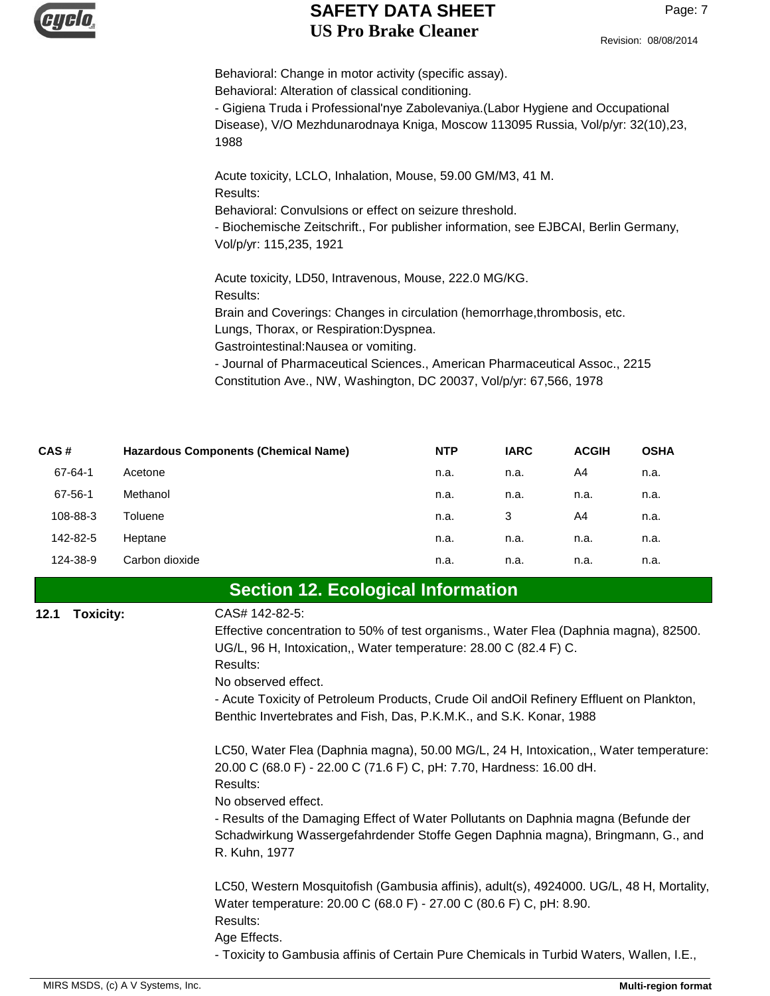

| Behavioral: Change in motor activity (specific assay).<br>Behavioral: Alteration of classical conditioning.<br>- Gigiena Truda i Professional'nye Zabolevaniya. (Labor Hygiene and Occupational<br>Disease), V/O Mezhdunarodnaya Kniga, Moscow 113095 Russia, Vol/p/yr: 32(10),23,<br>1988                                                                                                |
|-------------------------------------------------------------------------------------------------------------------------------------------------------------------------------------------------------------------------------------------------------------------------------------------------------------------------------------------------------------------------------------------|
| Acute toxicity, LCLO, Inhalation, Mouse, 59.00 GM/M3, 41 M.<br>Results:<br>Behavioral: Convulsions or effect on seizure threshold.<br>- Biochemische Zeitschrift., For publisher information, see EJBCAI, Berlin Germany,<br>Vol/p/yr: 115,235, 1921                                                                                                                                      |
| Acute toxicity, LD50, Intravenous, Mouse, 222.0 MG/KG.<br>Results:<br>Brain and Coverings: Changes in circulation (hemorrhage, thrombosis, etc.<br>Lungs, Thorax, or Respiration: Dyspnea.<br>Gastrointestinal: Nausea or vomiting.<br>- Journal of Pharmaceutical Sciences., American Pharmaceutical Assoc., 2215<br>Constitution Ave., NW, Washington, DC 20037, Vol/p/yr: 67,566, 1978 |

| CAS#     | <b>Hazardous Components (Chemical Name)</b> | <b>NTP</b> | <b>IARC</b> | <b>ACGIH</b> | <b>OSHA</b> |
|----------|---------------------------------------------|------------|-------------|--------------|-------------|
| 67-64-1  | Acetone                                     | n.a.       | n.a.        | A4           | n.a.        |
| 67-56-1  | Methanol                                    | n.a.       | n.a.        | n.a.         | n.a.        |
| 108-88-3 | Toluene                                     | n.a.       | 3           | A4           | n.a.        |
| 142-82-5 | Heptane                                     | n.a.       | n.a.        | n.a.         | n.a.        |
| 124-38-9 | Carbon dioxide                              | n.a.       | n.a.        | n.a.         | n.a.        |

# **Section 12. Ecological Information**

### **12.1** CAS# 142-82-5: **Toxicity:**

Effective concentration to 50% of test organisms., Water Flea (Daphnia magna), 82500. UG/L, 96 H, Intoxication,, Water temperature: 28.00 C (82.4 F) C.

Results: No observed effect.

- Acute Toxicity of Petroleum Products, Crude Oil andOil Refinery Effluent on Plankton, Benthic Invertebrates and Fish, Das, P.K.M.K., and S.K. Konar, 1988

LC50, Water Flea (Daphnia magna), 50.00 MG/L, 24 H, Intoxication,, Water temperature: 20.00 C (68.0 F) - 22.00 C (71.6 F) C, pH: 7.70, Hardness: 16.00 dH. Results:

No observed effect.

- Results of the Damaging Effect of Water Pollutants on Daphnia magna (Befunde der Schadwirkung Wassergefahrdender Stoffe Gegen Daphnia magna), Bringmann, G., and R. Kuhn, 1977

LC50, Western Mosquitofish (Gambusia affinis), adult(s), 4924000. UG/L, 48 H, Mortality, Water temperature: 20.00 C (68.0 F) - 27.00 C (80.6 F) C, pH: 8.90. Results: Age Effects.

- Toxicity to Gambusia affinis of Certain Pure Chemicals in Turbid Waters, Wallen, I.E.,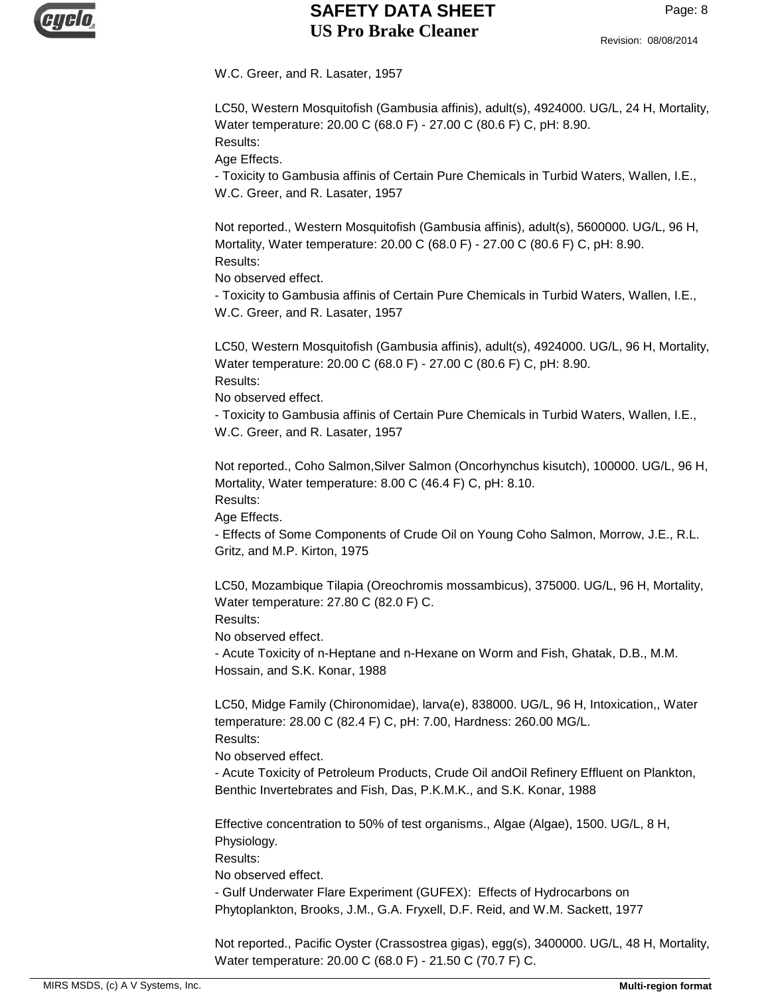

W.C. Greer, and R. Lasater, 1957

LC50, Western Mosquitofish (Gambusia affinis), adult(s), 4924000. UG/L, 24 H, Mortality, Water temperature: 20.00 C (68.0 F) - 27.00 C (80.6 F) C, pH: 8.90. Results:

Age Effects.

- Toxicity to Gambusia affinis of Certain Pure Chemicals in Turbid Waters, Wallen, I.E., W.C. Greer, and R. Lasater, 1957

Not reported., Western Mosquitofish (Gambusia affinis), adult(s), 5600000. UG/L, 96 H, Mortality, Water temperature: 20.00 C (68.0 F) - 27.00 C (80.6 F) C, pH: 8.90. Results:

No observed effect.

- Toxicity to Gambusia affinis of Certain Pure Chemicals in Turbid Waters, Wallen, I.E., W.C. Greer, and R. Lasater, 1957

LC50, Western Mosquitofish (Gambusia affinis), adult(s), 4924000. UG/L, 96 H, Mortality, Water temperature: 20.00 C (68.0 F) - 27.00 C (80.6 F) C, pH: 8.90. Results:

No observed effect.

- Toxicity to Gambusia affinis of Certain Pure Chemicals in Turbid Waters, Wallen, I.E., W.C. Greer, and R. Lasater, 1957

Not reported., Coho Salmon,Silver Salmon (Oncorhynchus kisutch), 100000. UG/L, 96 H, Mortality, Water temperature: 8.00 C (46.4 F) C, pH: 8.10.

Results: Age Effects.

- Effects of Some Components of Crude Oil on Young Coho Salmon, Morrow, J.E., R.L. Gritz, and M.P. Kirton, 1975

LC50, Mozambique Tilapia (Oreochromis mossambicus), 375000. UG/L, 96 H, Mortality, Water temperature: 27.80 C (82.0 F) C.

Results:

No observed effect.

- Acute Toxicity of n-Heptane and n-Hexane on Worm and Fish, Ghatak, D.B., M.M. Hossain, and S.K. Konar, 1988

LC50, Midge Family (Chironomidae), larva(e), 838000. UG/L, 96 H, Intoxication,, Water temperature: 28.00 C (82.4 F) C, pH: 7.00, Hardness: 260.00 MG/L. Results:

No observed effect.

- Acute Toxicity of Petroleum Products, Crude Oil andOil Refinery Effluent on Plankton, Benthic Invertebrates and Fish, Das, P.K.M.K., and S.K. Konar, 1988

Effective concentration to 50% of test organisms., Algae (Algae), 1500. UG/L, 8 H, Physiology.

Results:

No observed effect.

- Gulf Underwater Flare Experiment (GUFEX): Effects of Hydrocarbons on Phytoplankton, Brooks, J.M., G.A. Fryxell, D.F. Reid, and W.M. Sackett, 1977

Not reported., Pacific Oyster (Crassostrea gigas), egg(s), 3400000. UG/L, 48 H, Mortality, Water temperature: 20.00 C (68.0 F) - 21.50 C (70.7 F) C.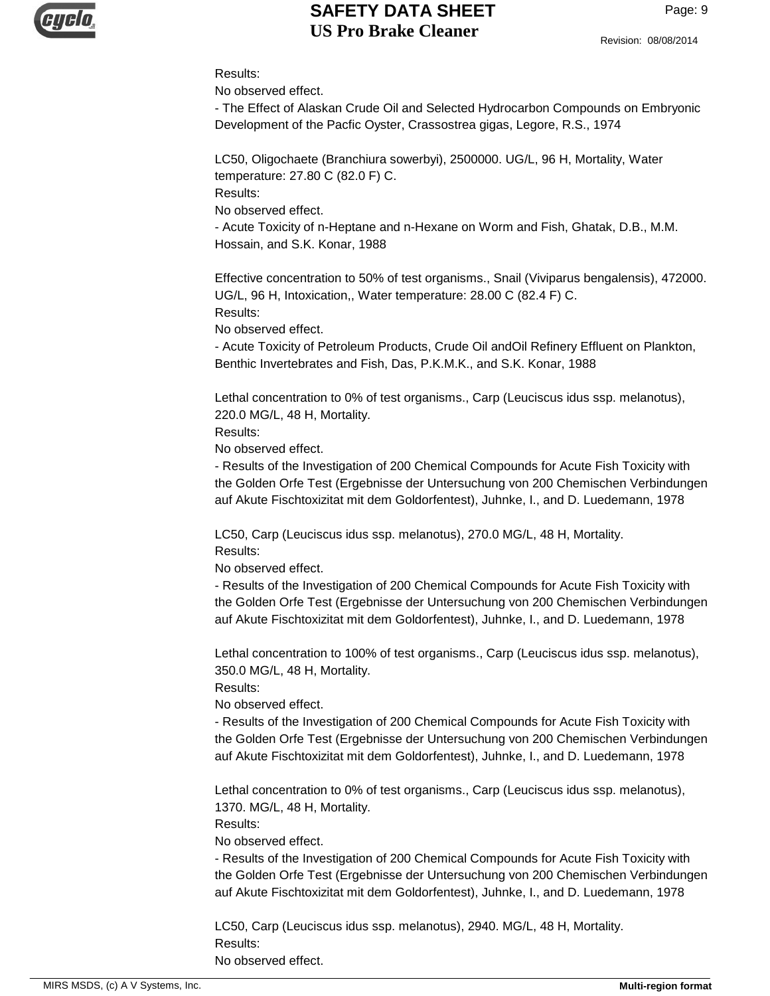

#### Results:

No observed effect.

- The Effect of Alaskan Crude Oil and Selected Hydrocarbon Compounds on Embryonic Development of the Pacfic Oyster, Crassostrea gigas, Legore, R.S., 1974

LC50, Oligochaete (Branchiura sowerbyi), 2500000. UG/L, 96 H, Mortality, Water temperature: 27.80 C (82.0 F) C.

Results:

No observed effect.

- Acute Toxicity of n-Heptane and n-Hexane on Worm and Fish, Ghatak, D.B., M.M. Hossain, and S.K. Konar, 1988

Effective concentration to 50% of test organisms., Snail (Viviparus bengalensis), 472000. UG/L, 96 H, Intoxication,, Water temperature: 28.00 C (82.4 F) C. Results:

No observed effect.

- Acute Toxicity of Petroleum Products, Crude Oil andOil Refinery Effluent on Plankton, Benthic Invertebrates and Fish, Das, P.K.M.K., and S.K. Konar, 1988

Lethal concentration to 0% of test organisms., Carp (Leuciscus idus ssp. melanotus), 220.0 MG/L, 48 H, Mortality.

Results:

No observed effect.

- Results of the Investigation of 200 Chemical Compounds for Acute Fish Toxicity with the Golden Orfe Test (Ergebnisse der Untersuchung von 200 Chemischen Verbindungen auf Akute Fischtoxizitat mit dem Goldorfentest), Juhnke, I., and D. Luedemann, 1978

LC50, Carp (Leuciscus idus ssp. melanotus), 270.0 MG/L, 48 H, Mortality. Results:

No observed effect.

- Results of the Investigation of 200 Chemical Compounds for Acute Fish Toxicity with the Golden Orfe Test (Ergebnisse der Untersuchung von 200 Chemischen Verbindungen auf Akute Fischtoxizitat mit dem Goldorfentest), Juhnke, I., and D. Luedemann, 1978

Lethal concentration to 100% of test organisms., Carp (Leuciscus idus ssp. melanotus), 350.0 MG/L, 48 H, Mortality.

Results:

No observed effect.

- Results of the Investigation of 200 Chemical Compounds for Acute Fish Toxicity with the Golden Orfe Test (Ergebnisse der Untersuchung von 200 Chemischen Verbindungen auf Akute Fischtoxizitat mit dem Goldorfentest), Juhnke, I., and D. Luedemann, 1978

Lethal concentration to 0% of test organisms., Carp (Leuciscus idus ssp. melanotus), 1370. MG/L, 48 H, Mortality.

Results:

No observed effect.

- Results of the Investigation of 200 Chemical Compounds for Acute Fish Toxicity with the Golden Orfe Test (Ergebnisse der Untersuchung von 200 Chemischen Verbindungen auf Akute Fischtoxizitat mit dem Goldorfentest), Juhnke, I., and D. Luedemann, 1978

LC50, Carp (Leuciscus idus ssp. melanotus), 2940. MG/L, 48 H, Mortality. Results: No observed effect.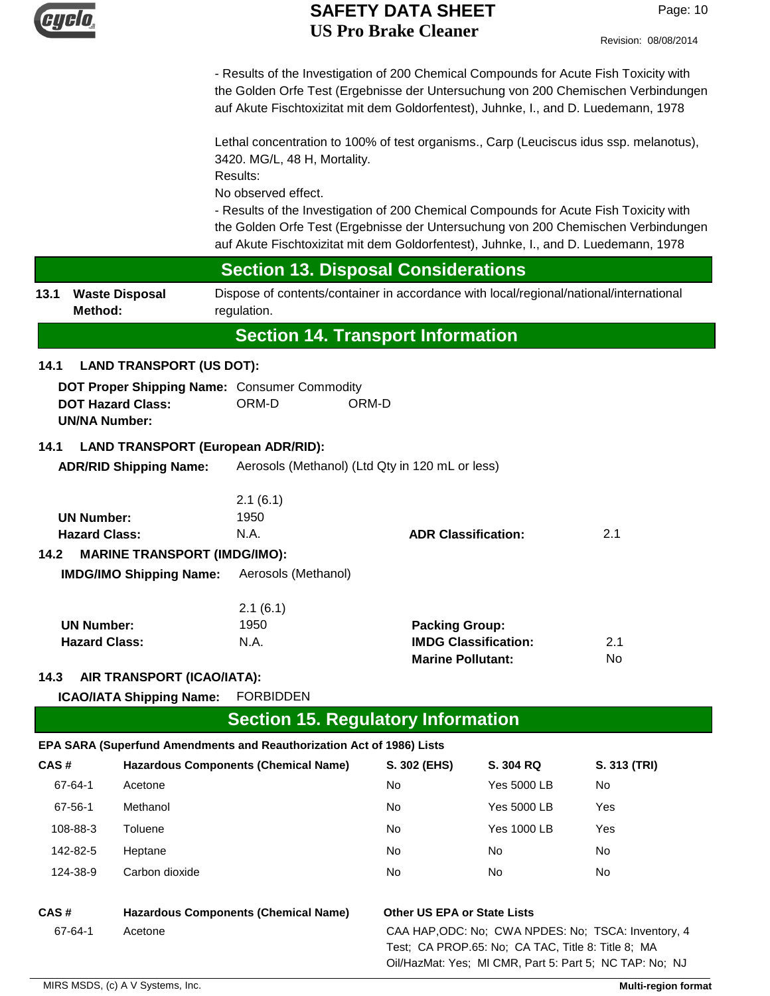|                                           |                                           | <b>SAFETY DATA SHEET</b><br><b>US Pro Brake Cleaner</b>                                                                                                                                                                                                                                                                                                                                                                        |                                                   | Page: 10<br>Revision: 08/08/2014                   |                                                                                                                |
|-------------------------------------------|-------------------------------------------|--------------------------------------------------------------------------------------------------------------------------------------------------------------------------------------------------------------------------------------------------------------------------------------------------------------------------------------------------------------------------------------------------------------------------------|---------------------------------------------------|----------------------------------------------------|----------------------------------------------------------------------------------------------------------------|
|                                           |                                           | - Results of the Investigation of 200 Chemical Compounds for Acute Fish Toxicity with<br>the Golden Orfe Test (Ergebnisse der Untersuchung von 200 Chemischen Verbindungen                                                                                                                                                                                                                                                     |                                                   |                                                    |                                                                                                                |
|                                           |                                           | auf Akute Fischtoxizitat mit dem Goldorfentest), Juhnke, I., and D. Luedemann, 1978                                                                                                                                                                                                                                                                                                                                            |                                                   |                                                    |                                                                                                                |
|                                           |                                           | Lethal concentration to 100% of test organisms., Carp (Leuciscus idus ssp. melanotus),<br>3420. MG/L, 48 H, Mortality.<br>Results:<br>No observed effect.<br>- Results of the Investigation of 200 Chemical Compounds for Acute Fish Toxicity with<br>the Golden Orfe Test (Ergebnisse der Untersuchung von 200 Chemischen Verbindungen<br>auf Akute Fischtoxizitat mit dem Goldorfentest), Juhnke, I., and D. Luedemann, 1978 |                                                   |                                                    |                                                                                                                |
|                                           |                                           | <b>Section 13. Disposal Considerations</b>                                                                                                                                                                                                                                                                                                                                                                                     |                                                   |                                                    |                                                                                                                |
| 13.1<br>Method:                           | <b>Waste Disposal</b>                     | Dispose of contents/container in accordance with local/regional/national/international<br>regulation.                                                                                                                                                                                                                                                                                                                          |                                                   |                                                    |                                                                                                                |
|                                           |                                           | <b>Section 14. Transport Information</b>                                                                                                                                                                                                                                                                                                                                                                                       |                                                   |                                                    |                                                                                                                |
| 14.1                                      | <b>LAND TRANSPORT (US DOT):</b>           |                                                                                                                                                                                                                                                                                                                                                                                                                                |                                                   |                                                    |                                                                                                                |
| <b>UN/NA Number:</b>                      | <b>DOT Hazard Class:</b>                  | DOT Proper Shipping Name: Consumer Commodity<br>ORM-D                                                                                                                                                                                                                                                                                                                                                                          | ORM-D                                             |                                                    |                                                                                                                |
| 14.1                                      | <b>LAND TRANSPORT (European ADR/RID):</b> |                                                                                                                                                                                                                                                                                                                                                                                                                                |                                                   |                                                    |                                                                                                                |
|                                           | <b>ADR/RID Shipping Name:</b>             | Aerosols (Methanol) (Ltd Qty in 120 mL or less)                                                                                                                                                                                                                                                                                                                                                                                |                                                   |                                                    |                                                                                                                |
| <b>UN Number:</b><br><b>Hazard Class:</b> |                                           | 2.1(6.1)<br>1950<br>N.A.                                                                                                                                                                                                                                                                                                                                                                                                       | <b>ADR Classification:</b>                        |                                                    | 2.1                                                                                                            |
| 14.2                                      | <b>MARINE TRANSPORT (IMDG/IMO):</b>       |                                                                                                                                                                                                                                                                                                                                                                                                                                |                                                   |                                                    |                                                                                                                |
|                                           | <b>IMDG/IMO Shipping Name:</b>            | Aerosols (Methanol)                                                                                                                                                                                                                                                                                                                                                                                                            |                                                   |                                                    |                                                                                                                |
| <b>UN Number:</b><br><b>Hazard Class:</b> |                                           | 2.1(6.1)<br>1950<br>N.A.                                                                                                                                                                                                                                                                                                                                                                                                       | <b>Packing Group:</b><br><b>Marine Pollutant:</b> | <b>IMDG Classification:</b>                        | 2.1<br>No                                                                                                      |
| 14.3                                      | AIR TRANSPORT (ICAO/IATA):                |                                                                                                                                                                                                                                                                                                                                                                                                                                |                                                   |                                                    |                                                                                                                |
|                                           | <b>ICAO/IATA Shipping Name:</b>           | <b>FORBIDDEN</b>                                                                                                                                                                                                                                                                                                                                                                                                               |                                                   |                                                    |                                                                                                                |
|                                           |                                           | <b>Section 15. Regulatory Information</b>                                                                                                                                                                                                                                                                                                                                                                                      |                                                   |                                                    |                                                                                                                |
| CAS#                                      |                                           | EPA SARA (Superfund Amendments and Reauthorization Act of 1986) Lists<br><b>Hazardous Components (Chemical Name)</b>                                                                                                                                                                                                                                                                                                           | S. 302 (EHS)                                      | S. 304 RQ                                          |                                                                                                                |
| 67-64-1                                   | Acetone                                   |                                                                                                                                                                                                                                                                                                                                                                                                                                | No                                                | Yes 5000 LB                                        | S. 313 (TRI)<br>No                                                                                             |
| 67-56-1                                   | Methanol                                  |                                                                                                                                                                                                                                                                                                                                                                                                                                | No                                                | Yes 5000 LB                                        | Yes                                                                                                            |
| 108-88-3                                  | Toluene                                   |                                                                                                                                                                                                                                                                                                                                                                                                                                | No                                                | <b>Yes 1000 LB</b>                                 | Yes                                                                                                            |
| 142-82-5                                  | Heptane                                   |                                                                                                                                                                                                                                                                                                                                                                                                                                | No                                                | No                                                 | No                                                                                                             |
| 124-38-9                                  | Carbon dioxide                            |                                                                                                                                                                                                                                                                                                                                                                                                                                | No                                                | No                                                 | No.                                                                                                            |
| CAS#<br>67-64-1                           | Acetone                                   | <b>Hazardous Components (Chemical Name)</b>                                                                                                                                                                                                                                                                                                                                                                                    | <b>Other US EPA or State Lists</b>                | Test; CA PROP.65: No; CA TAC, Title 8: Title 8; MA | CAA HAP, ODC: No; CWA NPDES: No; TSCA: Inventory, 4<br>Oil/HazMat: Yes; MI CMR, Part 5: Part 5; NC TAP: No; NJ |